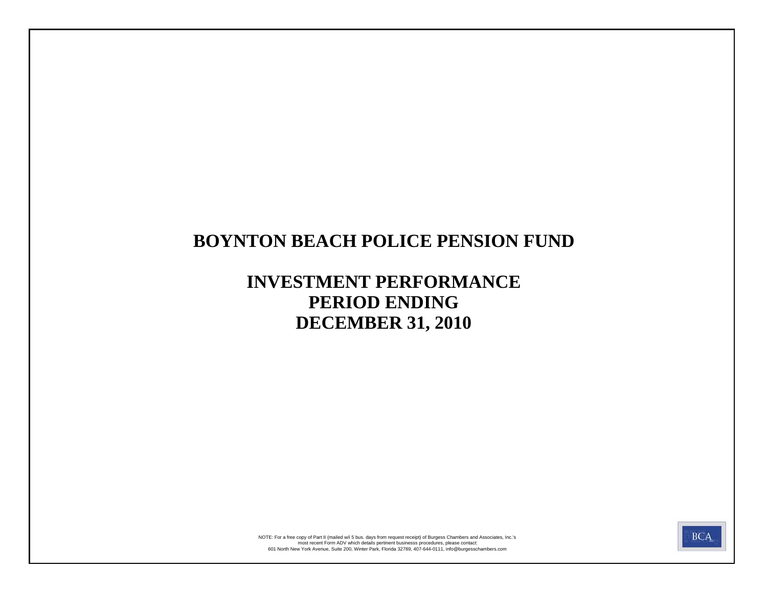# **BOYNTON BEACH POLICE PENSION FUND**

# **INVESTMENT PERFORMANCE PERIOD ENDING DECEMBER 31, 2010**



601 North New York Avenue, Suite 200, Winter Park, Florida 32789, 407-644-0111, info@burgesschambers.com most recent Form ADV which details pertinent businesss procedures, please contact: NOTE: For a free copy of Part II (mailed w/i 5 bus. days from request receipt) of Burgess Chambers and Associates, Inc.'s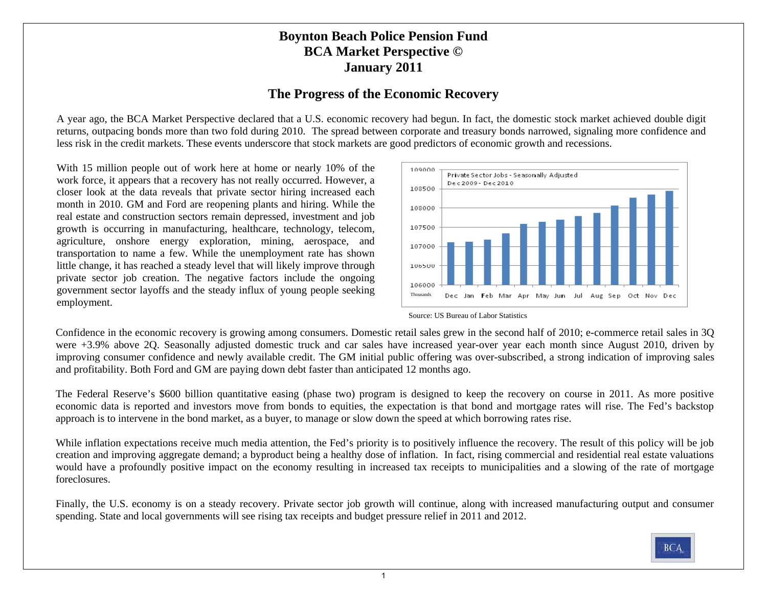#### **Boynton Beach Police Pension Fund BCA Market Perspective © January 2011**

#### **The Progress of the Economic Recovery**

A year ago, the BCA Market Perspective declared that a U.S. economic recovery had begun. In fact, the domestic stock market achieved double digit returns, outpacing bonds more than two fold during 2010. The spread between corporate and treasury bonds narrowed, signaling more confidence and less risk in the credit markets. These events underscore that stock markets are good predictors of economic growth and recessions.

With 15 million people out of work here at home or nearly 10% of the work force, it appears that a recovery has not really occurred. However, a closer look at the data reveals that private sector hiring increased each month in 2010. GM and Ford are reopening plants and hiring. While the real estate and construction sectors remain depressed, investment and job growth is occurring in manufacturing, healthcare, technology, telecom, agriculture, onshore energy exploration, mining, aerospace, and transportation to name a few. While the unemployment rate has shown little change, it has reached a steady level that will likely improve through private sector job creation. The negative factors include the ongoing government sector layoffs and the steady influx of young people seeking employment.



Source: US Bureau of Labor Statistics

Confidence in the economic recovery is growing among consumers. Domestic retail sales grew in the second half of 2010; e-commerce retail sales in 3Q were +3.9% above 2Q. Seasonally adjusted domestic truck and car sales have increased year-over year each month since August 2010, driven by improving consumer confidence and newly available credit. The GM initial public offering was over-subscribed, a strong indication of improving sales and profitability. Both Ford and GM are paying down debt faster than anticipated 12 months ago.

The Federal Reserve's \$600 billion quantitative easing (phase two) program is designed to keep the recovery on course in 2011. As more positive economic data is reported and investors move from bonds to equities, the expectation is that bond and mortgage rates will rise. The Fed's backstop approach is to intervene in the bond market, as a buyer, to manage or slow down the speed at which borrowing rates rise.

While inflation expectations receive much media attention, the Fed's priority is to positively influence the recovery. The result of this policy will be job creation and improving aggregate demand; a byproduct being a healthy dose of inflation. In fact, rising commercial and residential real estate valuations would have a profoundly positive impact on the economy resulting in increased tax receipts to municipalities and a slowing of the rate of mortgage foreclosures.

Finally, the U.S. economy is on a steady recovery. Private sector job growth will continue, along with increased manufacturing output and consumer spending. State and local governments will see rising tax receipts and budget pressure relief in 2011 and 2012.

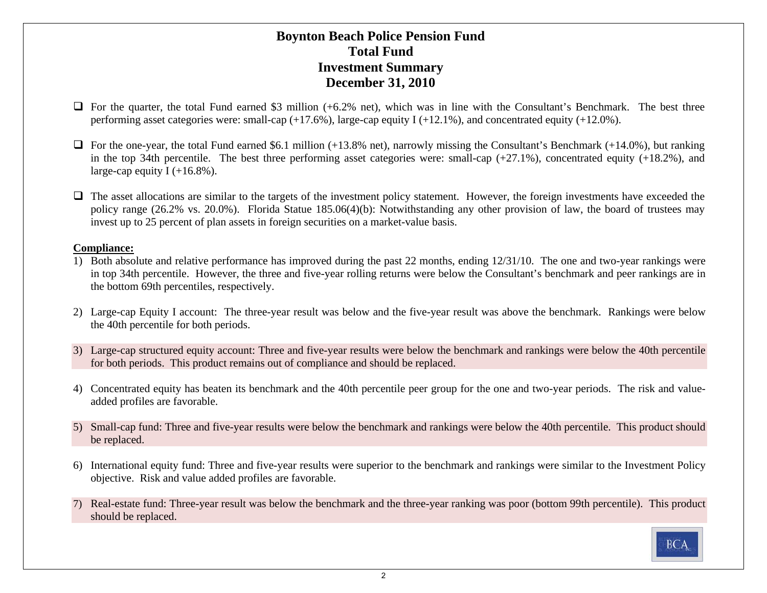#### **Boynton Beach Police Pension Fund Total FundInvestment Summary December 31, 2010**

- $\Box$  For the quarter, the total Fund earned \$3 million (+6.2% net), which was in line with the Consultant's Benchmark. The best three performing asset categories were: small-cap (+17.6%), large-cap equity I (+12.1%), and concentrated equity (+12.0%).
- $\Box$  For the one-year, the total Fund earned \$6.1 million (+13.8% net), narrowly missing the Consultant's Benchmark (+14.0%), but ranking in the top 34th percentile. The best three performing asset categories were: small-cap  $(+27.1\%)$ , concentrated equity  $(+18.2\%)$ , and large-cap equity I  $(+16.8\%)$ .
- $\Box$  The asset allocations are similar to the targets of the investment policy statement. However, the foreign investments have exceeded the policy range (26.2% vs. 20.0%). Florida Statue 185.06(4)(b): Notwithstanding any other provision of law, the board of trustees may invest up to 25 percent of plan assets in foreign securities on a market-value basis.

#### **Compliance:**

- 1) Both absolute and relative performance has improved during the past 22 months, ending 12/31/10. The one and two-year rankings were in top 34th percentile. However, the three and five-year rolling returns were below the Consultant's benchmark and peer rankings are in the bottom 69th percentiles, respectively.
- 2) Large-cap Equity I account: The three-year result was below and the five-year result was above the benchmark. Rankings were below the 40th percentile for both periods.
- 3) Large-cap structured equity account: Three and five-year results were below the benchmark and rankings were below the 40th percentile for both periods. This product remains out of compliance and should be replaced.
- 4) Concentrated equity has beaten its benchmark and the 40th percentile peer group for the one and two-year periods. The risk and valueadded profiles are favorable.
- 5) Small-cap fund: Three and five-year results were below the benchmark and rankings were below the 40th percentile. This product should be replaced.
- 6) International equity fund: Three and five-year results were superior to the benchmark and rankings were similar to the Investment Policy objective. Risk and value added profiles are favorable.
- 7) Real-estate fund: Three-year result was below the benchmark and the three-year ranking was poor (bottom 99th percentile). This product should be replaced.

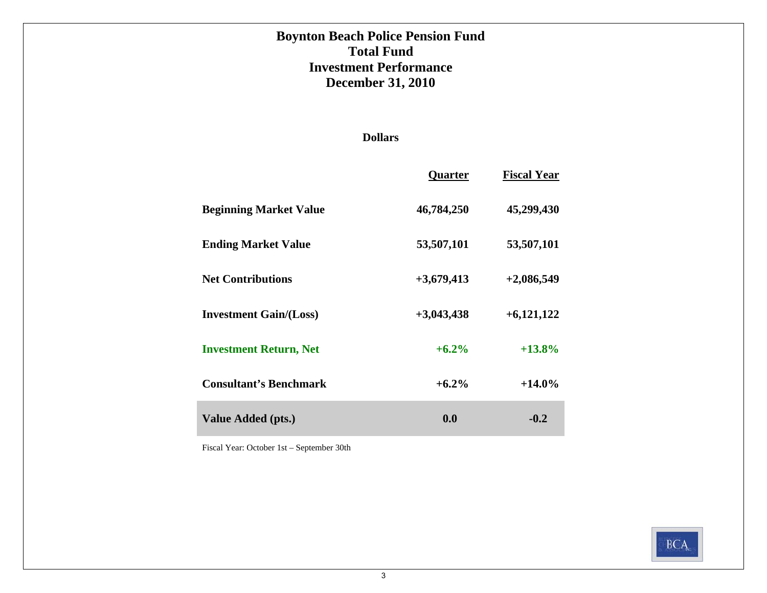#### **Boynton Beach Police Pension Fund Total FundInvestment Performance December 31, 2010**

#### **Dollars**

|                               | <b>Quarter</b> | <b>Fiscal Year</b> |
|-------------------------------|----------------|--------------------|
| <b>Beginning Market Value</b> | 46,784,250     | 45,299,430         |
| <b>Ending Market Value</b>    | 53,507,101     | 53,507,101         |
| <b>Net Contributions</b>      | $+3,679,413$   | $+2,086,549$       |
| <b>Investment Gain/(Loss)</b> | $+3,043,438$   | $+6,121,122$       |
| <b>Investment Return, Net</b> | $+6.2\%$       | $+13.8%$           |
| <b>Consultant's Benchmark</b> | $+6.2\%$       | $+14.0\%$          |
| Value Added (pts.)            | 0.0            | $-0.2$             |

Fiscal Year: October 1st – September 30th

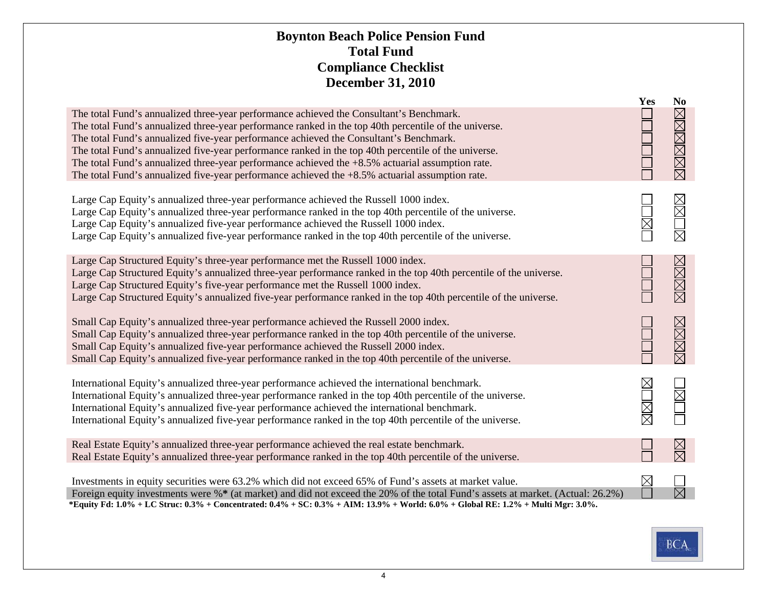#### **Boynton Beach Police Pension Fund Total Fund Compliance Checklist December 31, 2010**

|                                                                                                                                                                                                                                                                                                                                                                                                                                                                                                                                                                                                              | <b>Yes</b>       | N <sub>0</sub>          |
|--------------------------------------------------------------------------------------------------------------------------------------------------------------------------------------------------------------------------------------------------------------------------------------------------------------------------------------------------------------------------------------------------------------------------------------------------------------------------------------------------------------------------------------------------------------------------------------------------------------|------------------|-------------------------|
| The total Fund's annualized three-year performance achieved the Consultant's Benchmark.<br>The total Fund's annualized three-year performance ranked in the top 40th percentile of the universe.<br>The total Fund's annualized five-year performance achieved the Consultant's Benchmark.<br>The total Fund's annualized five-year performance ranked in the top 40th percentile of the universe.<br>The total Fund's annualized three-year performance achieved the $+8.5\%$ actuarial assumption rate.<br>The total Fund's annualized five-year performance achieved the +8.5% actuarial assumption rate. |                  | XMXXXX                  |
| Large Cap Equity's annualized three-year performance achieved the Russell 1000 index.<br>Large Cap Equity's annualized three-year performance ranked in the top 40th percentile of the universe.<br>Large Cap Equity's annualized five-year performance achieved the Russell 1000 index.<br>Large Cap Equity's annualized five-year performance ranked in the top 40th percentile of the universe.                                                                                                                                                                                                           |                  | XIOM                    |
| Large Cap Structured Equity's three-year performance met the Russell 1000 index.<br>Large Cap Structured Equity's annualized three-year performance ranked in the top 40th percentile of the universe.<br>Large Cap Structured Equity's five-year performance met the Russell 1000 index.<br>Large Cap Structured Equity's annualized five-year performance ranked in the top 40th percentile of the universe.                                                                                                                                                                                               |                  | XXXX                    |
| Small Cap Equity's annualized three-year performance achieved the Russell 2000 index.<br>Small Cap Equity's annualized three-year performance ranked in the top 40th percentile of the universe.<br>Small Cap Equity's annualized five-year performance achieved the Russell 2000 index.<br>Small Cap Equity's annualized five-year performance ranked in the top 40th percentile of the universe.                                                                                                                                                                                                           |                  | XKK                     |
| International Equity's annualized three-year performance achieved the international benchmark.<br>International Equity's annualized three-year performance ranked in the top 40th percentile of the universe.<br>International Equity's annualized five-year performance achieved the international benchmark.<br>International Equity's annualized five-year performance ranked in the top 40th percentile of the universe.                                                                                                                                                                                 | $\mathbb R$<br>X | $\overline{\mathbb{R}}$ |
| Real Estate Equity's annualized three-year performance achieved the real estate benchmark.<br>Real Estate Equity's annualized three-year performance ranked in the top 40th percentile of the universe.                                                                                                                                                                                                                                                                                                                                                                                                      |                  | $\boxtimes$             |
| Investments in equity securities were 63.2% which did not exceed 65% of Fund's assets at market value.<br>Foreign equity investments were %* (at market) and did not exceed the 20% of the total Fund's assets at market. (Actual: 26.2%)<br>*Equity Fd: 1.0% + LC Struc: 0.3% + Concentrated: 0.4% + SC: 0.3% + AIM: 13.9% + World: 6.0% + Global RE: 1.2% + Multi Mgr: 3.0%.                                                                                                                                                                                                                               | $\boxtimes$      | 岗                       |

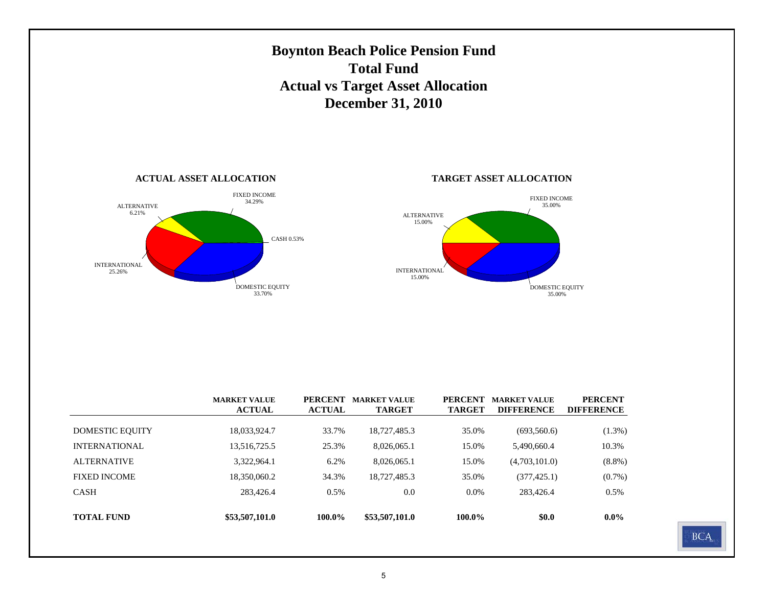

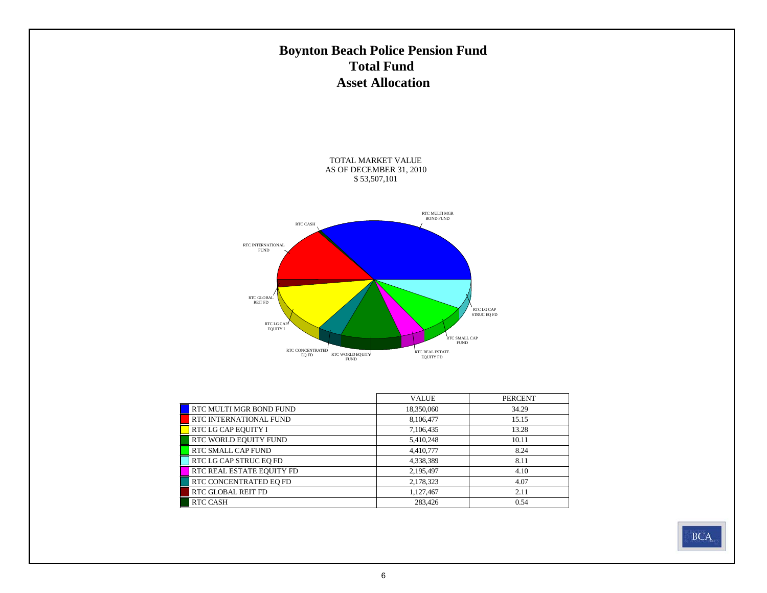### **Boynton Beach Police Pension Fund Total Fund Asset Allocation**

TOTAL MARKET VALUE AS OF DECEMBER 31, 2010 \$ 53,507,101



|                           | <b>VALUE</b> | <b>PERCENT</b> |
|---------------------------|--------------|----------------|
| RTC MULTI MGR BOND FUND   | 18,350,060   | 34.29          |
| RTC INTERNATIONAL FUND    | 8,106,477    | 15.15          |
| RTC LG CAP EQUITY I       | 7,106,435    | 13.28          |
| RTC WORLD EQUITY FUND     | 5,410,248    | 10.11          |
| <b>RTC SMALL CAP FUND</b> | 4,410,777    | 8.24           |
| RTC LG CAP STRUC EO FD    | 4,338,389    | 8.11           |
| RTC REAL ESTATE EQUITY FD | 2,195,497    | 4.10           |
| RTC CONCENTRATED EQ FD    | 2,178,323    | 4.07           |
| <b>RTC GLOBAL REIT FD</b> | 1,127,467    | 2.11           |
| <b>RTC CASH</b>           | 283.426      | 0.54           |

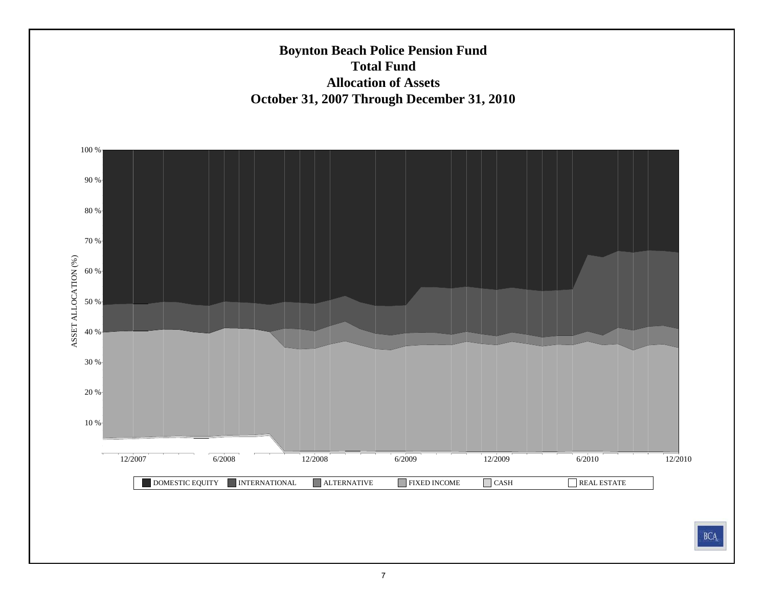### **Boynton Beach Police Pension Fund Total Fund Allocation of Assets October 31, 2007 Through December 31, 2010**

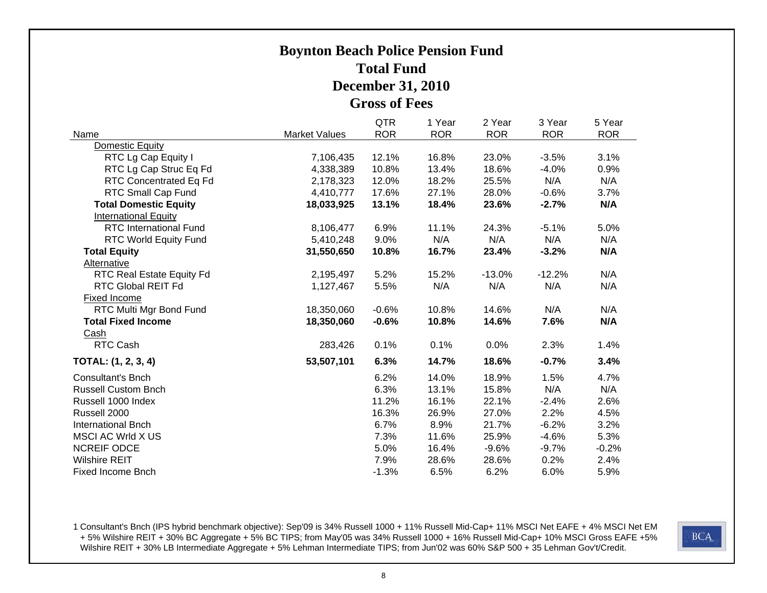### **Boynton Beach Police Pension Fund Total FundDecember 31, 2010 Gross of Fees**

| Name                             | <b>Market Values</b> | <b>QTR</b><br><b>ROR</b> | 1 Year<br><b>ROR</b> | 2 Year<br><b>ROR</b> | 3 Year<br><b>ROR</b> | 5 Year<br><b>ROR</b> |
|----------------------------------|----------------------|--------------------------|----------------------|----------------------|----------------------|----------------------|
| Domestic Equity                  |                      |                          |                      |                      |                      |                      |
| RTC Lg Cap Equity I              | 7,106,435            | 12.1%                    | 16.8%                | 23.0%                | $-3.5%$              | 3.1%                 |
| RTC Lg Cap Struc Eq Fd           | 4,338,389            | 10.8%                    | 13.4%                | 18.6%                | $-4.0%$              | 0.9%                 |
| RTC Concentrated Eq Fd           | 2,178,323            | 12.0%                    | 18.2%                | 25.5%                | N/A                  | N/A                  |
| RTC Small Cap Fund               | 4,410,777            | 17.6%                    | 27.1%                | 28.0%                | $-0.6%$              | 3.7%                 |
| <b>Total Domestic Equity</b>     | 18,033,925           | 13.1%                    | 18.4%                | 23.6%                | $-2.7%$              | N/A                  |
| <b>International Equity</b>      |                      |                          |                      |                      |                      |                      |
| <b>RTC</b> International Fund    | 8,106,477            | 6.9%                     | 11.1%                | 24.3%                | $-5.1%$              | 5.0%                 |
| RTC World Equity Fund            | 5,410,248            | 9.0%                     | N/A                  | N/A                  | N/A                  | N/A                  |
| <b>Total Equity</b>              | 31,550,650           | 10.8%                    | 16.7%                | 23.4%                | $-3.2%$              | N/A                  |
| Alternative                      |                      |                          |                      |                      |                      |                      |
| <b>RTC Real Estate Equity Fd</b> | 2,195,497            | 5.2%                     | 15.2%                | $-13.0%$             | $-12.2%$             | N/A                  |
| <b>RTC Global REIT Fd</b>        | 1,127,467            | 5.5%                     | N/A                  | N/A                  | N/A                  | N/A                  |
| Fixed Income                     |                      |                          |                      |                      |                      |                      |
| RTC Multi Mgr Bond Fund          | 18,350,060           | $-0.6%$                  | 10.8%                | 14.6%                | N/A                  | N/A                  |
| <b>Total Fixed Income</b>        | 18,350,060           | $-0.6%$                  | 10.8%                | 14.6%                | 7.6%                 | N/A                  |
| Cash                             |                      |                          |                      |                      |                      |                      |
| RTC Cash                         | 283,426              | 0.1%                     | 0.1%                 | 0.0%                 | 2.3%                 | 1.4%                 |
| TOTAL: (1, 2, 3, 4)              | 53,507,101           | 6.3%                     | 14.7%                | 18.6%                | $-0.7%$              | 3.4%                 |
| <b>Consultant's Bnch</b>         |                      | 6.2%                     | 14.0%                | 18.9%                | 1.5%                 | 4.7%                 |
| <b>Russell Custom Bnch</b>       |                      | 6.3%                     | 13.1%                | 15.8%                | N/A                  | N/A                  |
| Russell 1000 Index               |                      | 11.2%                    | 16.1%                | 22.1%                | $-2.4%$              | 2.6%                 |
| Russell 2000                     |                      | 16.3%                    | 26.9%                | 27.0%                | 2.2%                 | 4.5%                 |
| <b>International Bnch</b>        |                      | 6.7%                     | 8.9%                 | 21.7%                | $-6.2%$              | 3.2%                 |
| <b>MSCI AC Wrld X US</b>         |                      | 7.3%                     | 11.6%                | 25.9%                | $-4.6%$              | 5.3%                 |
| <b>NCREIF ODCE</b>               |                      | 5.0%                     | 16.4%                | $-9.6%$              | $-9.7%$              | $-0.2%$              |
| <b>Wilshire REIT</b>             |                      | 7.9%                     | 28.6%                | 28.6%                | 0.2%                 | 2.4%                 |
| <b>Fixed Income Bnch</b>         |                      | $-1.3%$                  | 6.5%                 | 6.2%                 | 6.0%                 | 5.9%                 |

1 Consultant's Bnch (IPS hybrid benchmark objective): Sep'09 is 34% Russell 1000 + 11% Russell Mid-Cap+ 11% MSCI Net EAFE + 4% MSCI Net EM + 5% Wilshire REIT + 30% BC Aggregate + 5% BC TIPS; from May'05 was 34% Russell 1000 + 16% Russell Mid-Cap+ 10% MSCI Gross EAFE +5% Wilshire REIT + 30% LB Intermediate Aggregate + 5% Lehman Intermediate TIPS; from Jun'02 was 60% S&P 500 + 35 Lehman Gov't/Credit.

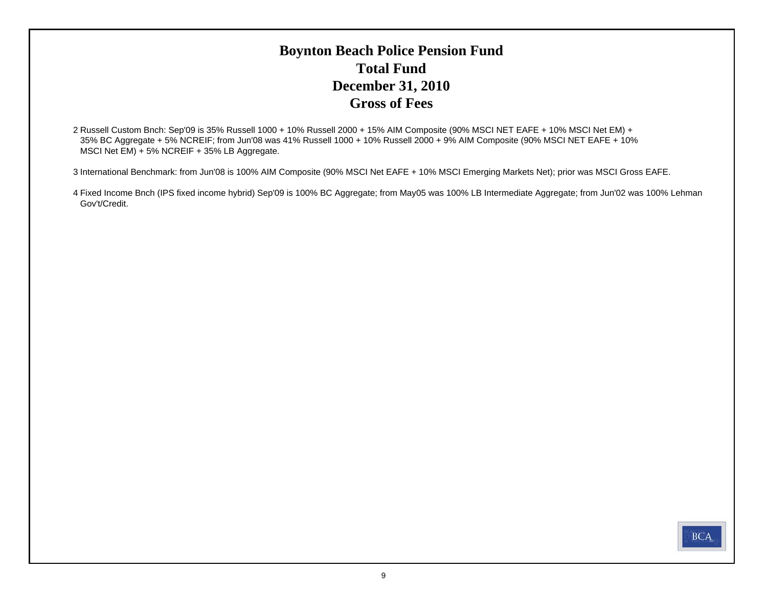### **Boynton Beach Police Pension Fund Total FundDecember 31, 2010 Gross of Fees**

2 Russell Custom Bnch: Sep'09 is 35% Russell 1000 + 10% Russell 2000 + 15% AIM Composite (90% MSCI NET EAFE + 10% MSCI Net EM) + 35% BC Aggregate + 5% NCREIF; from Jun'08 was 41% Russell 1000 + 10% Russell 2000 + 9% AIM Composite (90% MSCI NET EAFE + 10% MSCI Net EM) + 5% NCREIF + 35% LB Aggregate.

3 International Benchmark: from Jun'08 is 100% AIM Composite (90% MSCI Net EAFE + 10% MSCI Emerging Markets Net); prior was MSCI Gross EAFE.

4 Fixed Income Bnch (IPS fixed income hybrid) Sep'09 is 100% BC Aggregate; from May05 was 100% LB Intermediate Aggregate; from Jun'02 was 100% Lehman Gov't/Credit.

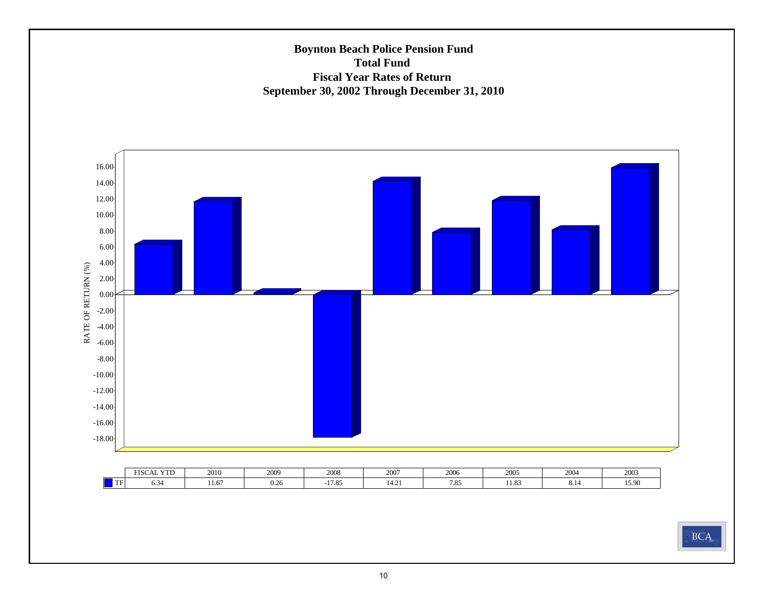#### **Boynton Beach Police Pension Fund Total Fund Fiscal Year Rates of Return September 30, 2002 Through December 31, 2010**



|    | $\overline{1}$<br><b>FISC</b><br>A1.<br>ำเวเ<br>. | 2010  | 2009 | 2008          | 2007 | 2006         | 2005              | 2004 | 2002<br>ZUUJ       |
|----|---------------------------------------------------|-------|------|---------------|------|--------------|-------------------|------|--------------------|
| TF | --<br>0.3 <sup>o</sup>                            | LL.O7 | ∪.∠∪ | 1705<br>ره. ا | ு.∠  | 7.05<br>1.0. | $\Omega$<br>11.03 | 0.1. | $\sim$ 00<br>1.3.3 |

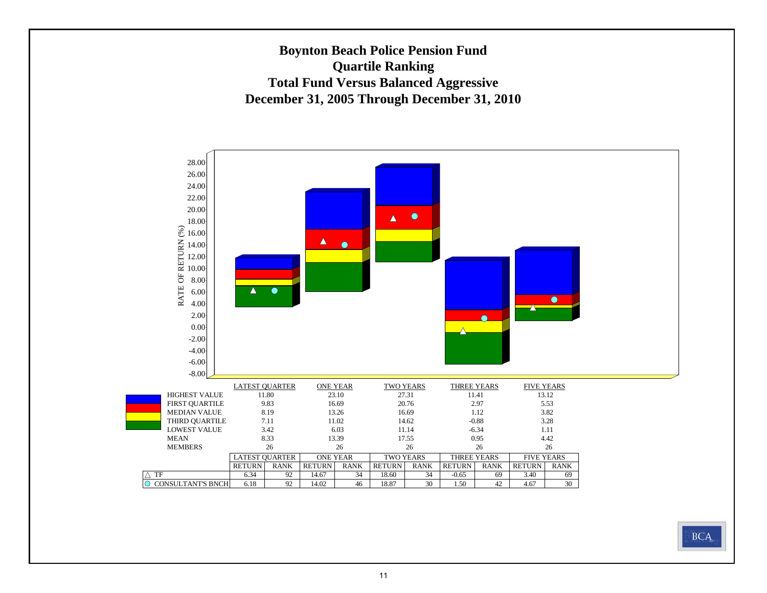**Boynton Beach Police Pension Fund Quartile Ranking Total Fund Versus Balanced Aggressive December 31, 2005 Through December 31, 2010**



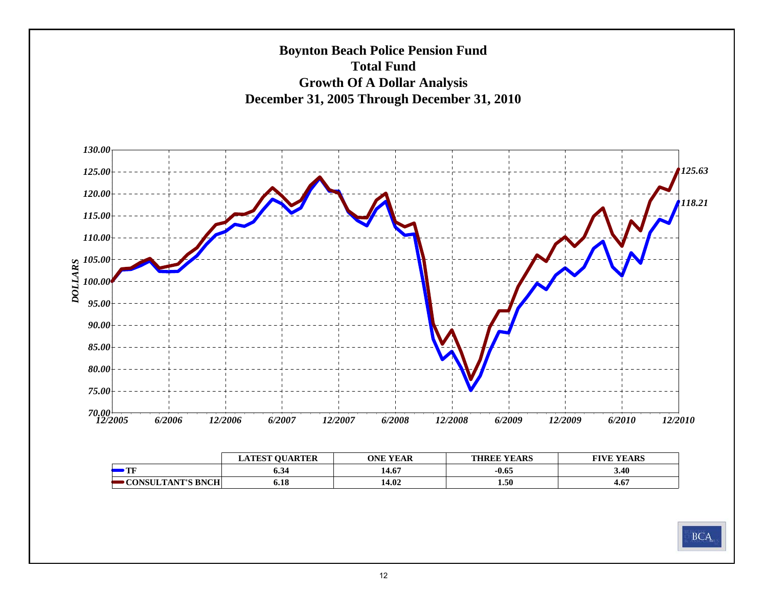

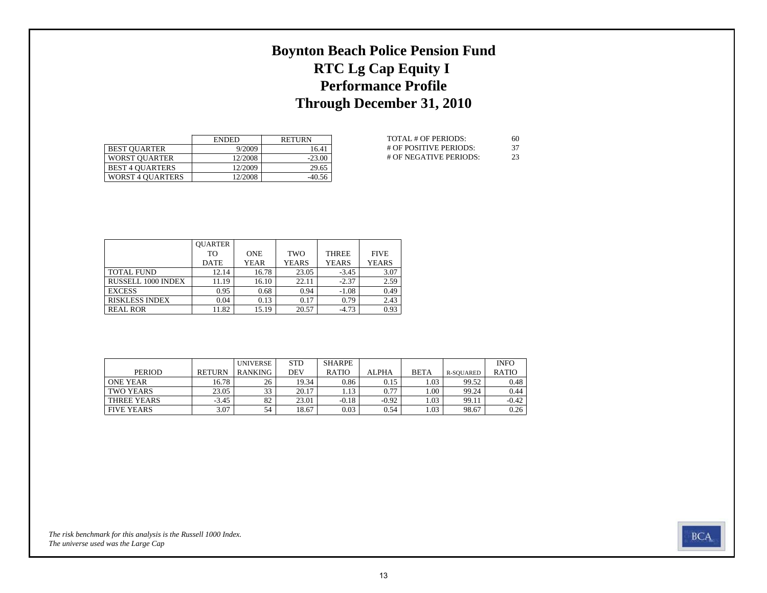## **Boynton Beach Police Pension Fund RTC Lg Cap Equity I Performance Profile Through December 31, 2010**

|                         | <b>ENDED</b> | <b>RETURN</b> |
|-------------------------|--------------|---------------|
| <b>BEST OUARTER</b>     | 9/2009       | 16.41         |
| <b>WORST OUARTER</b>    | 12/2008      | $-23.00$      |
| <b>BEST 4 QUARTERS</b>  | 12/2009      | 29.65         |
| <b>WORST 4 OUARTERS</b> | 12/2008      | $-40.56$      |

| TOTAL # OF PERIODS:    | 60 |
|------------------------|----|
| # OF POSITIVE PERIODS: | 37 |
| # OF NEGATIVE PERIODS: | 23 |

|                       | <b>OUARTER</b> |             |              |              |              |
|-----------------------|----------------|-------------|--------------|--------------|--------------|
|                       | TО             | <b>ONE</b>  | TWO          | <b>THREE</b> | <b>FIVE</b>  |
|                       | <b>DATE</b>    | <b>YEAR</b> | <b>YEARS</b> | <b>YEARS</b> | <b>YEARS</b> |
| <b>TOTAL FUND</b>     | 12.14          | 16.78       | 23.05        | $-3.45$      | 3.07         |
| RUSSELL 1000 INDEX    | 11.19          | 16.10       | 22.11        | $-2.37$      | 2.59         |
| <b>EXCESS</b>         | 0.95           | 0.68        | 0.94         | $-1.08$      | 0.49         |
| <b>RISKLESS INDEX</b> | 0.04           | 0.13        | 0.17         | 0.79         | 2.43         |
| <b>REAL ROR</b>       | 11.82          | 15.19       | 20.57        | $-4.73$      | 0.93         |

|                   |               | <b>UNIVERSE</b> | <b>STD</b> | SHARPE       |         |             |           | <b>INFO</b>  |
|-------------------|---------------|-----------------|------------|--------------|---------|-------------|-----------|--------------|
| <b>PERIOD</b>     | <b>RETURN</b> | <b>RANKING</b>  | DEV        | <b>RATIO</b> | ALPHA   | <b>BETA</b> | R-SOUARED | <b>RATIO</b> |
| <b>ONE YEAR</b>   | 16.78         | 26              | 19.34      | 0.86         | 0.15    | 1.03        | 99.52     | 0.48         |
| TWO YEARS         | 23.05         | 33              | 20.17      | 1.13         | 0.77    | 00.1        | 99.24     | 0.44         |
| THREE YEARS       | $-3.45$       | 82              | 23.01      | $-0.18$      | $-0.92$ | 1.03        | 99.11     | $-0.42$      |
| <b>FIVE YEARS</b> | 3.07          | 54              | 18.67      | 0.03         | 0.54    | 1.03        | 98.67     | 0.26         |

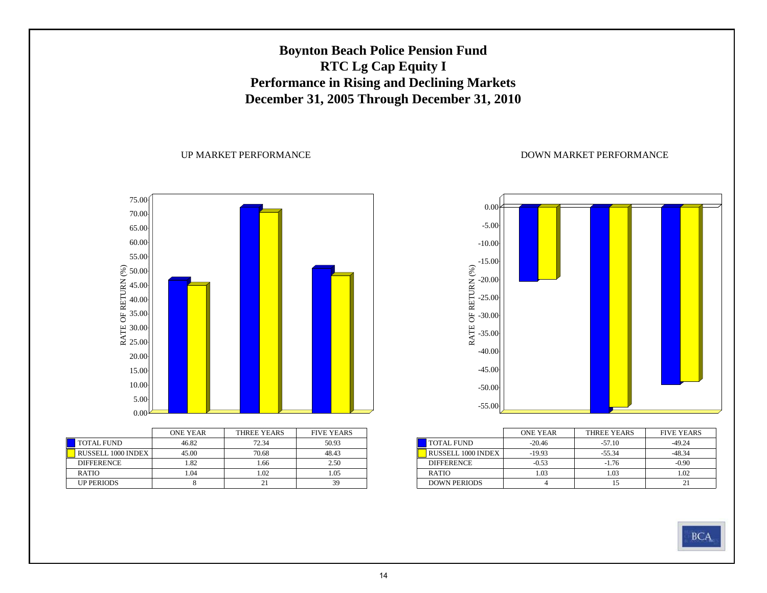### **Boynton Beach Police Pension Fund RTC Lg Cap Equity I Performance in Rising and Declining Markets December 31, 2005 Through December 31, 2010**

#### UP MARKET PERFORMANCE

DOWN MARKET PERFORMANCE



|                           | ONE YEAR | THREE YEARS | <b>FIVE YEARS</b> |
|---------------------------|----------|-------------|-------------------|
| <b>TOTAL FUND</b>         | 46.82    | 72.34       | 50.93             |
| <b>RUSSELL 1000 INDEX</b> | 45.00    | 70.68       | 48.43             |
| <b>DIFFERENCE</b>         | 1.82     | 1.66        | 2.50              |
| <b>RATIO</b>              | 1.04     | 1.02        | 1.05              |
| <b>UP PERIODS</b>         |          |             | 39                |



|                     | <b>ONE YEAR</b> | THREE YEARS | <b>FIVE YEARS</b> |
|---------------------|-----------------|-------------|-------------------|
| <b>TOTAL FUND</b>   | $-20.46$        | $-57.10$    | -49 24            |
| RUSSELL 1000 INDEX  | $-19.93$        | $-55.34$    | $-48.34$          |
| <b>DIFFERENCE</b>   | $-0.53$         | $-1.76$     | $-0.90$           |
| <b>RATIO</b>        | 1.03            | 1.03        | 1.02              |
| <b>DOWN PERIODS</b> |                 |             |                   |

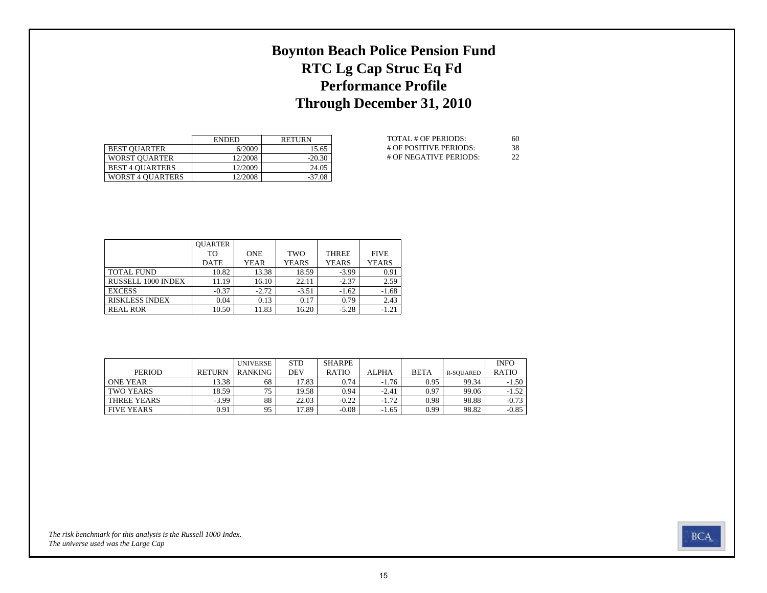## **Boynton Beach Police Pension Fund RTC Lg Cap Struc Eq Fd Performance Profile Through December 31, 2010**

|                         | <b>ENDED</b> | <b>RETURN</b> |
|-------------------------|--------------|---------------|
| <b>BEST OUARTER</b>     | 6/2009       | 15.65         |
| <b>WORST OUARTER</b>    | 12/2008      | $-20.30$      |
| <b>BEST 4 OUARTERS</b>  | 12/2009      | 24.05         |
| <b>WORST 4 OUARTERS</b> | 12/2008      | $-37.08$      |

| TOTAL # OF PERIODS:    | 60 |
|------------------------|----|
| # OF POSITIVE PERIODS: | 38 |
| # OF NEGATIVE PERIODS: | 22 |

|                       | <b>OUARTER</b> |             |              |              |              |
|-----------------------|----------------|-------------|--------------|--------------|--------------|
|                       | TО             | <b>ONE</b>  | TWO          | <b>THREE</b> | <b>FIVE</b>  |
|                       | <b>DATE</b>    | <b>YEAR</b> | <b>YEARS</b> | <b>YEARS</b> | <b>YEARS</b> |
| <b>TOTAL FUND</b>     | 10.82          | 13.38       | 18.59        | $-3.99$      | 0.91         |
| RUSSELL 1000 INDEX    | 11.19          | 16.10       | 22.11        | $-2.37$      | 2.59         |
| <b>EXCESS</b>         | $-0.37$        | $-2.72$     | $-3.51$      | $-1.62$      | $-1.68$      |
| <b>RISKLESS INDEX</b> | 0.04           | 0.13        | 0.17         | 0.79         | 2.43         |
| <b>REAL ROR</b>       | 10.50          | 11.83       | 16.20        | $-5.28$      | $-1.21$      |

|                   |               | <b>UNIVERSE</b> | <b>STD</b> | <b>SHARPE</b> |              |             |           | <b>INFO</b>  |
|-------------------|---------------|-----------------|------------|---------------|--------------|-------------|-----------|--------------|
| <b>PERIOD</b>     | <b>RETURN</b> | <b>RANKING</b>  | DEV        | <b>RATIO</b>  | <b>ALPHA</b> | <b>BETA</b> | R-SOUARED | <b>RATIO</b> |
| <b>ONE YEAR</b>   | 13.38         | 68              | 17.83      | 0.74          | $-1.76$      | 0.95        | 99.34     | $-1.50$      |
| TWO YEARS         | 18.59         | 75              | 19.58      | 0.94          | $-2.41$      | 0.97        | 99.06     | $-1.52$      |
| THREE YEARS       | $-3.99$       | 88              | 22.03      | $-0.22$       | $-1.72$      | 0.98        | 98.88     | $-0.73$      |
| <b>FIVE YEARS</b> | 0.91          | 95              | 17.89      | $-0.08$       | $-1.65$      | 0.99        | 98.82     | $-0.85$      |

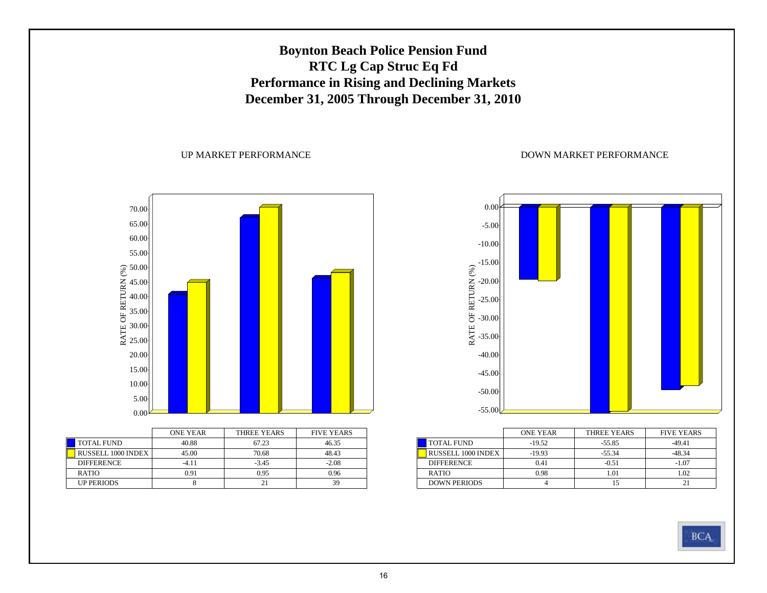### **Boynton Beach Police Pension Fund RTC Lg Cap Struc Eq Fd Performance in Rising and Declining Markets December 31, 2005 Through December 31, 2010**

#### UP MARKET PERFORMANCE

DOWN MARKET PERFORMANCE



|                           | ONE YEAR | THREE YEARS | <b>FIVE YEARS</b> |
|---------------------------|----------|-------------|-------------------|
| <b>TOTAL FUND</b>         | 40.88    | 67.23       | 46.35             |
| <b>RUSSELL 1000 INDEX</b> | 45.00    | 70.68       | 48.43             |
| <b>DIFFERENCE</b>         | $-4.11$  | $-3.45$     | $-2.08$           |
| <b>RATIO</b>              | 0.91     | 0.95        | 0.96              |
| <b>UP PERIODS</b>         |          |             | 39                |



|                           | ONE YEAR | THREE YEARS | <b>FIVE YEARS</b> |
|---------------------------|----------|-------------|-------------------|
| <b>TOTAL FUND</b>         | $-19.52$ | $-55.85$    | $-49.41$          |
| <b>RUSSELL 1000 INDEX</b> | $-19.93$ | $-55.34$    | -48.34            |
| <b>DIFFERENCE</b>         | 0.41     | $-0.51$     | $-1.07$           |
| <b>RATIO</b>              | 0.98     | 1.01        | 1.02              |
| <b>DOWN PERIODS</b>       |          |             |                   |

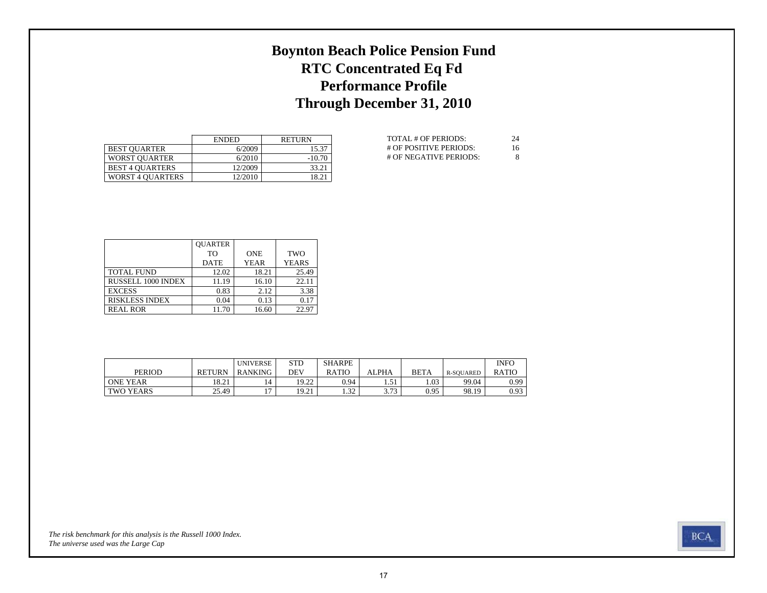## **Boynton Beach Police Pension Fund RTC Concentrated Eq Fd Performance Profile Through December 31, 2010**

|                         | <b>ENDED</b> | <b>RETURN</b> |
|-------------------------|--------------|---------------|
| <b>BEST OUARTER</b>     | 6/2009       | 15.37         |
| <b>WORST OUARTER</b>    | 6/2010       | $-10.70$      |
| <b>BEST 4 OUARTERS</b>  | 12/2009      | 33.21         |
| <b>WORST 4 OUARTERS</b> | 12/2010      | 18.21         |

| TOTAL # OF PERIODS:    | 24 |
|------------------------|----|
| # OF POSITIVE PERIODS: | 16 |
| # OF NEGATIVE PERIODS: | 8  |

|                           | <b>OUARTER</b> |            |              |
|---------------------------|----------------|------------|--------------|
|                           | TО             | <b>ONE</b> | <b>TWO</b>   |
|                           | <b>DATE</b>    | YEAR       | <b>YEARS</b> |
| <b>TOTAL FUND</b>         | 12.02          | 18.21      | 25.49        |
| <b>RUSSELL 1000 INDEX</b> | 11.19          | 16.10      | 22.11        |
| <b>EXCESS</b>             | 0.83           | 2.12       | 3.38         |
| <b>RISKLESS INDEX</b>     | 0.04           | 0.13       | 0.17         |
| <b>REAL ROR</b>           | 11.70          | 16.60      | 22.97        |

|                  |               | UNIVERSE  | STD       | <b>SHARPE</b> |       |             |           | <b>INFO</b>  |
|------------------|---------------|-----------|-----------|---------------|-------|-------------|-----------|--------------|
| <b>PERIOD</b>    | <b>RETURN</b> | RANKING . | DEV       | RATIO         | ALPHA | <b>BETA</b> | R-SOUARED | <b>RATIO</b> |
| <b>ONE YEAR</b>  | 18.21         | 14        | $19.22$ . | 0.94          | ر ب   | . 03        | 99.04     | 0.99         |
| <b>TWO YEARS</b> | 25.49         |           | 19.21     | 32<br>ے د. 1  | 272   | 0.95        | 98.19     | 0.93         |

*The universe used was the Large Cap The risk benchmark for this analysis is the Russell 1000 Index.*

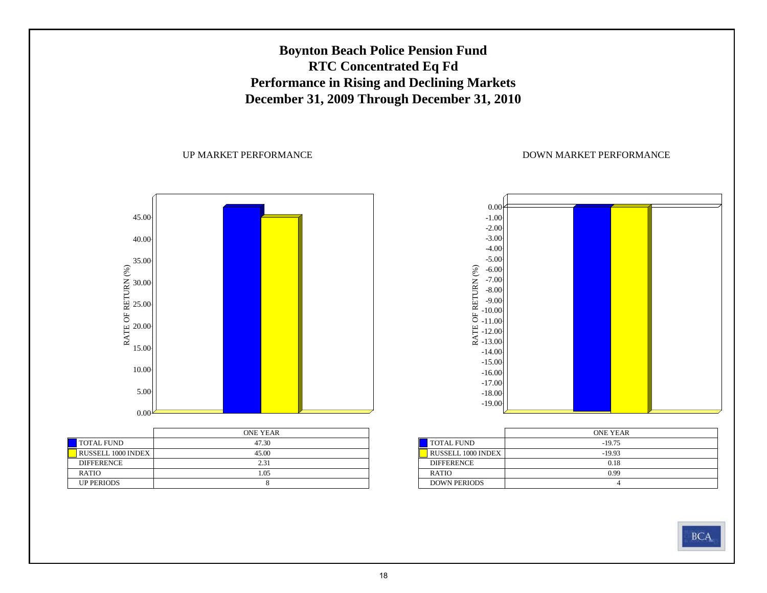### **Boynton Beach Police Pension Fund RTC Concentrated Eq Fd Performance in Rising and Declining Markets December 31, 2009 Through December 31, 2010**

#### UP MARKET PERFORMANCE

#### DOWN MARKET PERFORMANCE



|                    | <b>ONE YEAR</b> |
|--------------------|-----------------|
| <b>TOTAL FUND</b>  | 47.30           |
| RUSSELL 1000 INDEX | 45.00           |
| <b>DIFFERENCE</b>  | 2.31            |
| <b>RATIO</b>       | 1.05            |
| <b>UP PERIODS</b>  |                 |



|                     | <b>ONE YEAR</b> |
|---------------------|-----------------|
| <b>TOTAL FUND</b>   | $-19.75$        |
| RUSSELL 1000 INDEX  | $-19.93$        |
| <b>DIFFERENCE</b>   | 0.18            |
| <b>RATIO</b>        | 0.99            |
| <b>DOWN PERIODS</b> |                 |

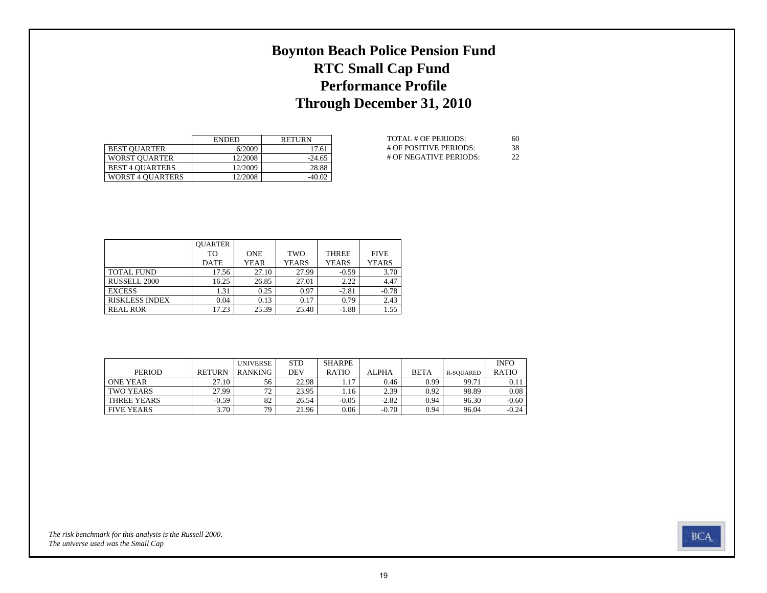## **Boynton Beach Police Pension Fund RTC Small Cap Fund Performance Profile Through December 31, 2010**

|                         | <b>ENDED</b> | <b>RETURN</b> |
|-------------------------|--------------|---------------|
| <b>BEST OUARTER</b>     | 6/2009       | 17.61         |
| <b>WORST OUARTER</b>    | 12/2008      | $-24.65$      |
| <b>BEST 4 OUARTERS</b>  | 12/2009      | 28.88         |
| <b>WORST 4 OUARTERS</b> | 12/2008      | $-40.02$      |

| TOTAL # OF PERIODS:    | 60 |
|------------------------|----|
| # OF POSITIVE PERIODS: | 38 |
| # OF NEGATIVE PERIODS: | 22 |

|                       | <b>OUARTER</b> |             |              |              |              |
|-----------------------|----------------|-------------|--------------|--------------|--------------|
|                       | TО             | <b>ONE</b>  | TWO          | <b>THREE</b> | <b>FIVE</b>  |
|                       | <b>DATE</b>    | <b>YEAR</b> | <b>YEARS</b> | <b>YEARS</b> | <b>YEARS</b> |
| <b>TOTAL FUND</b>     | 17.56          | 27.10       | 27.99        | $-0.59$      | 3.70         |
| RUSSELL 2000          | 16.25          | 26.85       | 27.01        | 2.22         | 4.47         |
| <b>EXCESS</b>         | 1.31           | 0.25        | 0.97         | $-2.81$      | $-0.78$      |
| <b>RISKLESS INDEX</b> | 0.04           | 0.13        | 0.17         | 0.79         | 2.43         |
| <b>REAL ROR</b>       | 17.23          | 25.39       | 25.40        | $-1.88$      | 1.55         |

|                   |               | <b>UNIVERSE</b> | <b>STD</b> | <b>SHARPE</b> |         |             |                  | <b>INFO</b>  |
|-------------------|---------------|-----------------|------------|---------------|---------|-------------|------------------|--------------|
| <b>PERIOD</b>     | <b>RETURN</b> | <b>RANKING</b>  | DEV        | <b>RATIO</b>  | ALPHA   | <b>BETA</b> | <b>R-SOUARED</b> | <b>RATIO</b> |
| <b>ONE YEAR</b>   | 27.10         | 56              | 22.98      |               | 0.46    | 0.99        | 99.71            |              |
| TWO YEARS         | 27.99         | 72              | 23.95      | .16           | 2.39    | 0.92        | 98.89            | 0.08         |
| THREE YEARS       | $-0.59$       | 82              | 26.54      | $-0.05$       | $-2.82$ | 0.94        | 96.30            | $-0.60$      |
| <b>FIVE YEARS</b> | 3.70          | 79              | 21.96      | 0.06          | $-0.70$ | 0.94        | 96.04            | $-0.24$      |

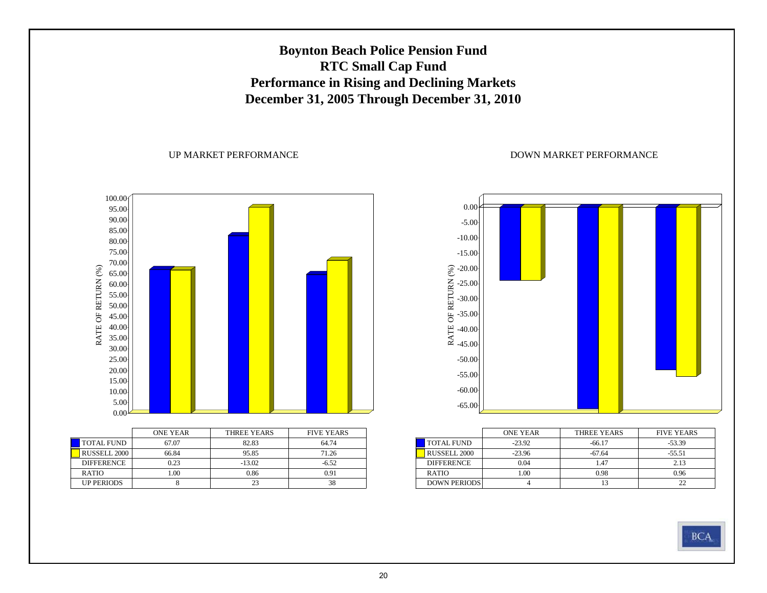### **Boynton Beach Police Pension Fund RTC Small Cap Fund Performance in Rising and Declining Markets December 31, 2005 Through December 31, 2010**

#### UP MARKET PERFORMANCE





|                   | UNE YEAR | IHKEE YEAKS | FIVE YEARS |
|-------------------|----------|-------------|------------|
| <b>TOTAL FUND</b> | 67.07    | 82.83       | 64.74      |
| RUSSELL 2000      | 66.84    | 95.85       | 71.26      |
| <b>DIFFERENCE</b> | 0.23     | $-13.02$    | $-6.52$    |
| <b>RATIO</b>      | .00      | 0.86        | 0.91       |
| <b>UP PERIODS</b> |          | 23          | 38         |



|                     | <b>ONE YEAR</b> | THREE YEARS | <b>FIVE YEARS</b> |
|---------------------|-----------------|-------------|-------------------|
| <b>TOTAL FUND</b>   | $-23.92$        | $-66.17$    | $-53.39$          |
| <b>RUSSELL 2000</b> | $-23.96$        | $-67.64$    | $-55.51$          |
| <b>DIFFERENCE</b>   | 0.04            | 1.47        | 2.13              |
| <b>RATIO</b>        | 1.00            | 0.98        | 0.96              |
| <b>DOWN PERIODS</b> |                 |             | つつ                |

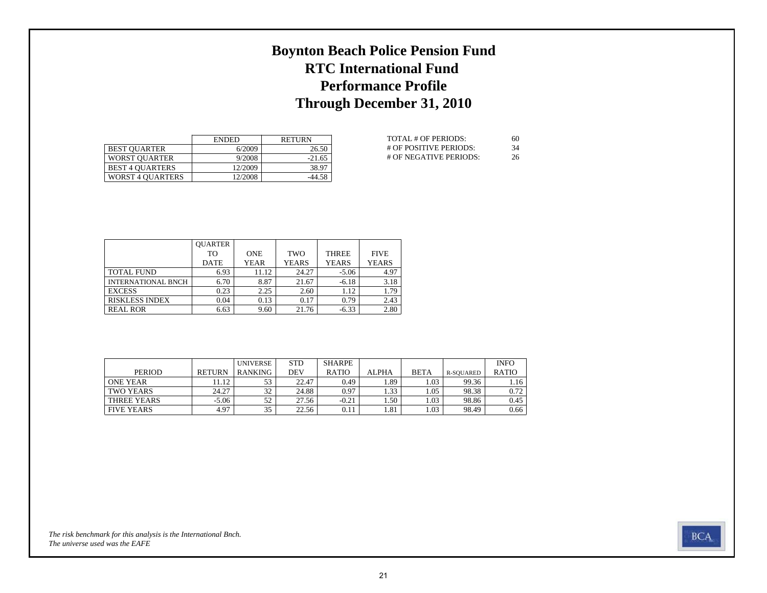## **Boynton Beach Police Pension Fund RTC International Fund Performance Profile Through December 31, 2010**

|                         | <b>ENDED</b> | <b>RETURN</b> |
|-------------------------|--------------|---------------|
| <b>BEST OUARTER</b>     | 6/2009       | 26.50         |
| <b>WORST OUARTER</b>    | 9/2008       | $-21.65$      |
| <b>BEST 4 OUARTERS</b>  | 12/2009      | 38.97         |
| <b>WORST 4 OUARTERS</b> | 12/2008      | -44.58        |

| TOTAL # OF PERIODS:    | 60 |
|------------------------|----|
| # OF POSITIVE PERIODS: | 34 |
| # OF NEGATIVE PERIODS: | 26 |

|                           | <b>OUARTER</b> |            |              |              |              |
|---------------------------|----------------|------------|--------------|--------------|--------------|
|                           | TО             | <b>ONE</b> | TWO          | <b>THREE</b> | <b>FIVE</b>  |
|                           | <b>DATE</b>    | YEAR       | <b>YEARS</b> | <b>YEARS</b> | <b>YEARS</b> |
| <b>TOTAL FUND</b>         | 6.93           | 11.12      | 24.27        | $-5.06$      | 4.97         |
| <b>INTERNATIONAL BNCH</b> | 6.70           | 8.87       | 21.67        | $-6.18$      | 3.18         |
| <b>EXCESS</b>             | 0.23           | 2.25       | 2.60         | 1.12         | 1.79         |
| <b>RISKLESS INDEX</b>     | 0.04           | 0.13       | 0.17         | 0.79         | 2.43         |
| <b>REAL ROR</b>           | 6.63           | 9.60       | 21.76        | $-6.33$      | 2.80         |

|                   |               | <b>UNIVERSE</b> | <b>STD</b> | <b>SHARPE</b> |                  |             |           | <b>INFO</b>  |
|-------------------|---------------|-----------------|------------|---------------|------------------|-------------|-----------|--------------|
| <b>PERIOD</b>     | <b>RETURN</b> | <b>RANKING</b>  | DEV        | <b>RATIO</b>  | ALPHA            | <b>BETA</b> | R-SOUARED | <b>RATIO</b> |
| <b>ONE YEAR</b>   | 11.12         |                 | 22.47      | 0.49          | 1.89             | 1.03        | 99.36     | 1.16         |
| TWO YEARS         | 24.27         | 32              | 24.88      | 0.97          | 1.33             | 1.05        | 98.38     | 0.72         |
| THREE YEARS       | $-5.06$       | 52              | 27.56      | $-0.21$       | $4.50^{\degree}$ | 1.03        | 98.86     | 0.45         |
| <b>FIVE YEARS</b> | 4.97          | 35              | 22.56      |               | 1.81             | 1.03        | 98.49     | 0.66         |

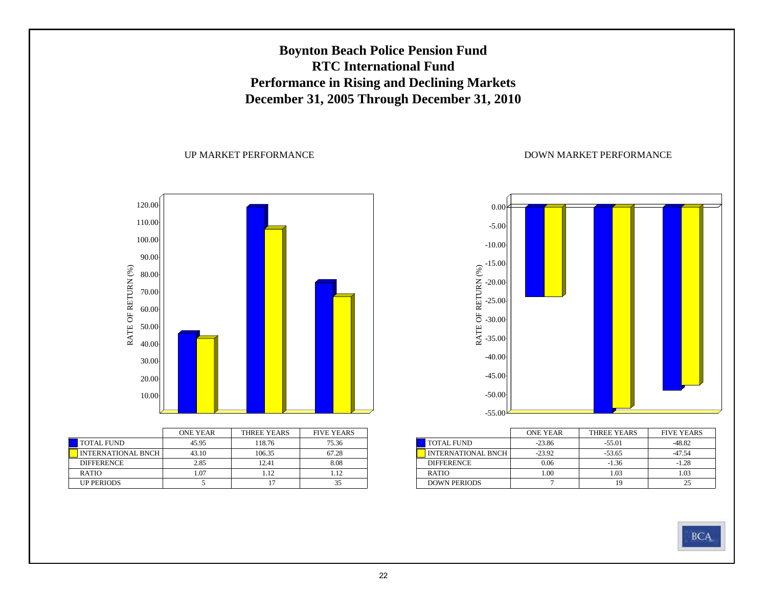

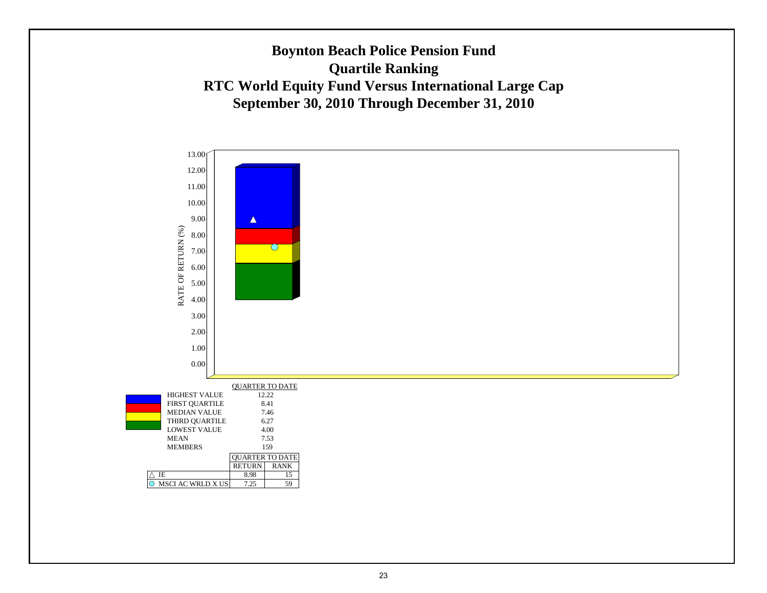

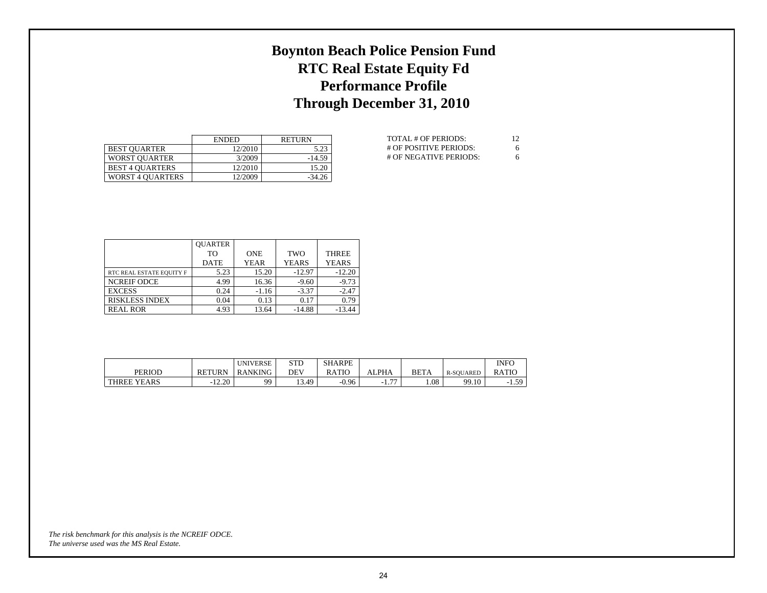## **Boynton Beach Police Pension Fund RTC Real Estate Equity Fd Performance Profile Through December 31, 2010**

|                         | <b>ENDED</b> | <b>RETURN</b> |
|-------------------------|--------------|---------------|
| <b>BEST OUARTER</b>     | 12/2010      | 5.23          |
| <b>WORST OUARTER</b>    | 3/2009       | $-14.59$      |
| <b>BEST 4 OUARTERS</b>  | 12/2010      | 15.20         |
| <b>WORST 4 OUARTERS</b> | 12/2009      | $-34.26$      |

| TOTAL # OF PERIODS:    | 12 |
|------------------------|----|
| # OF POSITIVE PERIODS: | 6  |
| # OF NEGATIVE PERIODS: | 6  |

|                          | <b>OUARTER</b> |             |              |              |
|--------------------------|----------------|-------------|--------------|--------------|
|                          | T <sub>O</sub> | <b>ONE</b>  | TWO          | <b>THREE</b> |
|                          | <b>DATE</b>    | <b>YEAR</b> | <b>YEARS</b> | <b>YEARS</b> |
| RTC REAL ESTATE EQUITY F | 5.23           | 15.20       | $-12.97$     | $-12.20$     |
| <b>NCREIF ODCE</b>       | 4.99           | 16.36       | $-9.60$      | $-9.73$      |
| <b>EXCESS</b>            | 0.24           | $-1.16$     | $-3.37$      | $-2.47$      |
| <b>RISKLESS INDEX</b>    | 0.04           | 0.13        | 0.17         | 0.79         |
| <b>REAL ROR</b>          | 4.93           | 13.64       | $-14.88$     | $-13.44$     |

|                    |               | <b>UNIVERSE</b> | ${\tt STL}$ | <b>SHARPE</b> |                                      |             |             | <b>INFO</b>  |
|--------------------|---------------|-----------------|-------------|---------------|--------------------------------------|-------------|-------------|--------------|
| PERIOD             | <b>RETURN</b> | <b>RANKING</b>  | DEV         | RATIO         | ALPHA                                | <b>BETA</b> | R-SOUARED   | <b>RATIO</b> |
| <b>THREE YEARS</b> | 12.20<br>- 1  | QQ              | 13.49       | $-0.96$       | $\overline{\phantom{a}}$<br>- 1<br>. | 0.08        | QQ<br>99.10 | 50<br>رر.ر   |

*The universe used was the MS Real Estate. The risk benchmark for this analysis is the NCREIF ODCE.*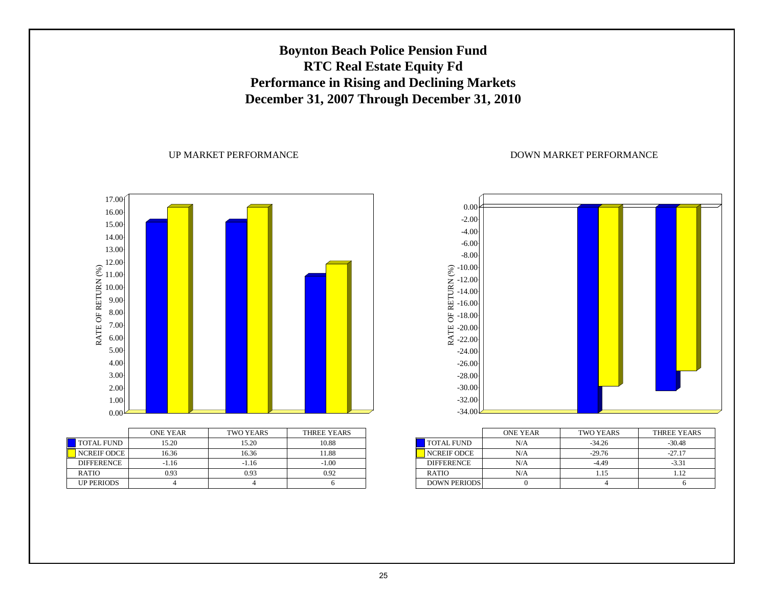### **Boynton Beach Police Pension Fund RTC Real Estate Equity Fd Performance in Rising and Declining Markets December 31, 2007 Through December 31, 2010**

#### UP MARKET PERFORMANCE

DOWN MARKET PERFORMANCE



| <b>TOTAL FUND</b> | 15.20   | 15.20   | 10.88   |
|-------------------|---------|---------|---------|
| NCREIF ODCE       | 16.36   | 16.36   | 11.88   |
| DIFFERENCE        | $-1.16$ | $-1.16$ | $-1.00$ |
| <b>RATIO</b>      | 0.93    | 0.93    | 0.92    |
| <b>UP PERIODS</b> |         |         |         |



|                     | <b>ONE YEAR</b> | <b>TWO YEARS</b> | THREE YEARS |
|---------------------|-----------------|------------------|-------------|
| <b>TOTAL FUND</b>   | N/A             | $-34.26$         | $-30.48$    |
| <b>NCREIF ODCE</b>  | N/A             | $-29.76$         | $-27.17$    |
| <b>DIFFERENCE</b>   | N/A             | $-4.49$          | $-3.31$     |
| <b>RATIO</b>        | N/A             | 1.15             | 1.12        |
| <b>DOWN PERIODS</b> |                 |                  |             |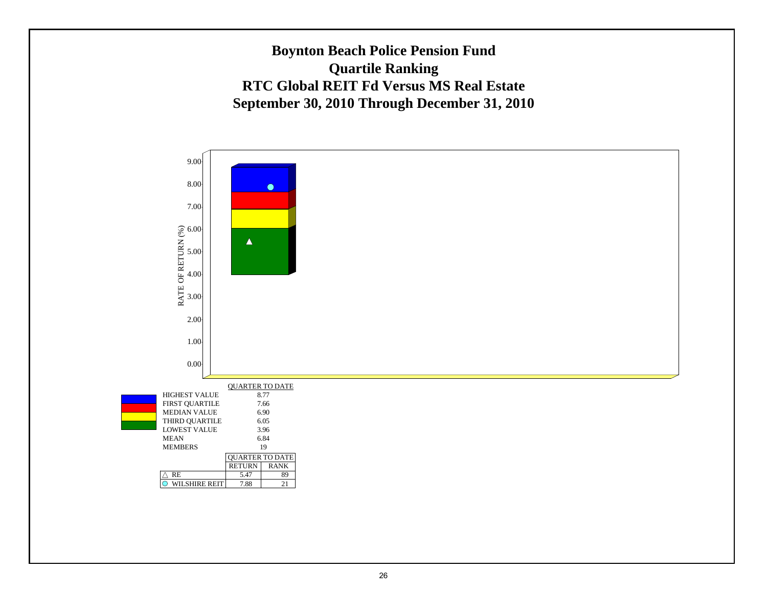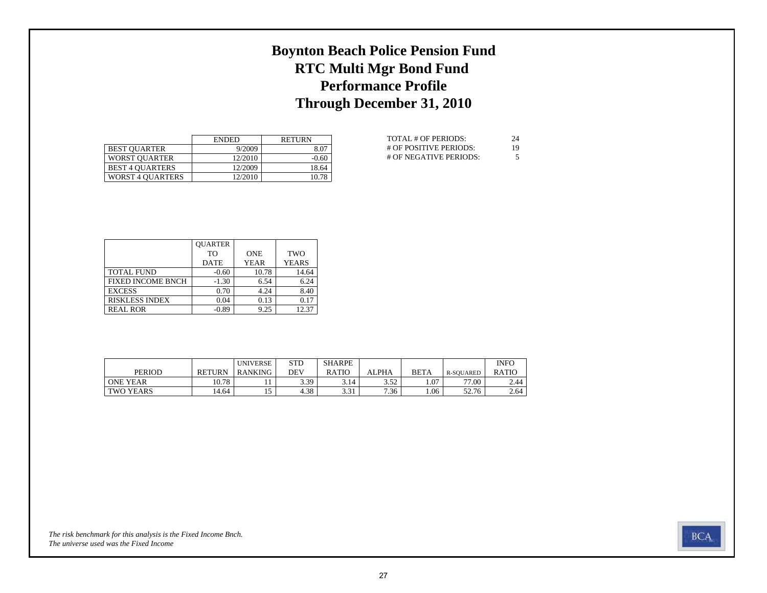## **Boynton Beach Police Pension Fund RTC Multi Mgr Bond Fund Performance Profile Through December 31, 2010**

|                         | <b>ENDED</b> | <b>RETURN</b> |
|-------------------------|--------------|---------------|
| <b>BEST OUARTER</b>     | 9/2009       | 8.07          |
| <b>WORST OUARTER</b>    | 12/2010      | $-0.60$       |
| <b>BEST 4 OUARTERS</b>  | 12/2009      | 18.64         |
| <b>WORST 4 QUARTERS</b> | 12/2010      | 10.78         |

| TOTAL # OF PERIODS:    | 24 |
|------------------------|----|
| # OF POSITIVE PERIODS: | 19 |
| # OF NEGATIVE PERIODS: | 5  |

|                          | <b>OUARTER</b> |            |              |
|--------------------------|----------------|------------|--------------|
|                          | T <sub>O</sub> | <b>ONE</b> | <b>TWO</b>   |
|                          | <b>DATE</b>    | YEAR       | <b>YEARS</b> |
| <b>TOTAL FUND</b>        | $-0.60$        | 10.78      | 14.64        |
| <b>FIXED INCOME BNCH</b> | $-1.30$        | 6.54       | 6.24         |
| <b>EXCESS</b>            | 0.70           | 4.24       | 8.40         |
| <b>RISKLESS INDEX</b>    | 0.04           | 0.13       | 0.17         |
| <b>REAL ROR</b>          | $-0.89$        | 9.25       | 12.37        |

|                  |               | <b>UNIVERSE</b> | <b>STD</b> | <b>SHARPE</b> |              |             |                  | <b>INFO</b>  |
|------------------|---------------|-----------------|------------|---------------|--------------|-------------|------------------|--------------|
| <b>PERIOD</b>    | <b>RETURN</b> | RANKING         | DEV        | <b>RATIO</b>  | ALPHA        | <b>BETA</b> | <b>R-SOUARED</b> | <b>RATIO</b> |
| <b>ONE YEAR</b>  | 10.78         |                 | 3.39       | 3.14          | 250<br>ے ر.ر | .07         | 77.00            | 2.44         |
| <b>TWO YEARS</b> | 14.64         |                 | 4.38       | 221<br>J.J 1  | 7.36         | .06         | 52.76            | 2.64         |

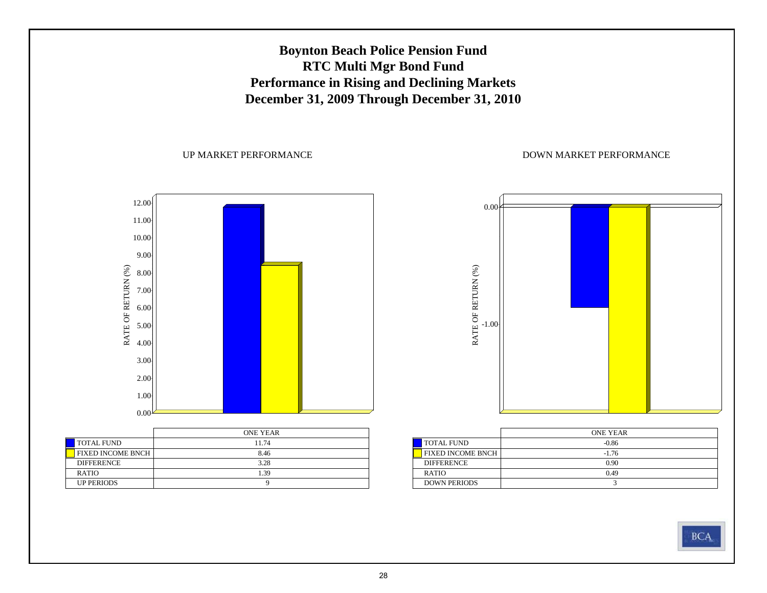

FIXED INCOME BNCH

0.49

 $S \qquad \qquad$  3

**DIFFERENCE** 

DOWN PERIODS

RATIO

| <b>TOTAL FUND</b> | 11.74 |
|-------------------|-------|
| FIXED INCOME BNCH | 8.46  |
| <b>DIFFERENCE</b> | 3.28  |
| <b>RATIO</b>      | 1.39  |
| <b>UP PERIODS</b> |       |

-1.76

0.90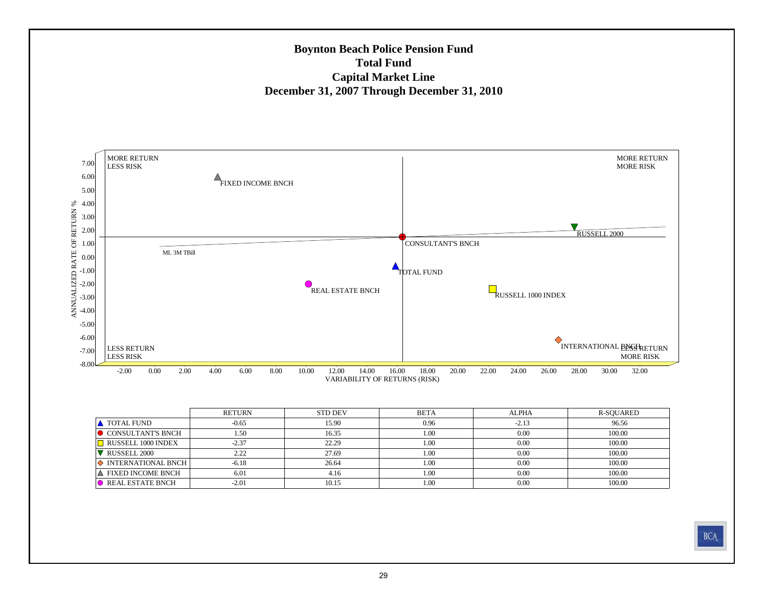#### **Boynton Beach Police Pension Fund Total FundCapital Market Line December 31, 2007 Through December 31, 2010**



|                             | RETURN  | STD DEV | <b>BETA</b> | <b>ALPHA</b> | R-SOUARED |
|-----------------------------|---------|---------|-------------|--------------|-----------|
| <b>A</b> TOTAL FUND         | $-0.65$ | 15.90   | 0.96        | $-2.13$      | 96.56     |
| $\bullet$ CONSULTANT'S BNCH | 1.50    | 16.35   | 1.00        | 0.00         | 100.00    |
| RUSSELL 1000 INDEX          | $-2.37$ | 22.29   | 1.00        | 0.00         | 100.00    |
| RUSSELL 2000                | 2.22    | 27.69   | 1.00        | 0.00         | 100.00    |
| <b>O</b> INTERNATIONAL BNCH | $-6.18$ | 26.64   | 1.00        | 0.00         | 100.00    |
| ∣▲ FIXED INCOME BNCH        | 6.01    | 4.16    | 1.00        | 0.00         | 100.00    |
| REAL ESTATE BNCH            | $-2.01$ | 10.15   | 1.00        | 0.00         | 100.00    |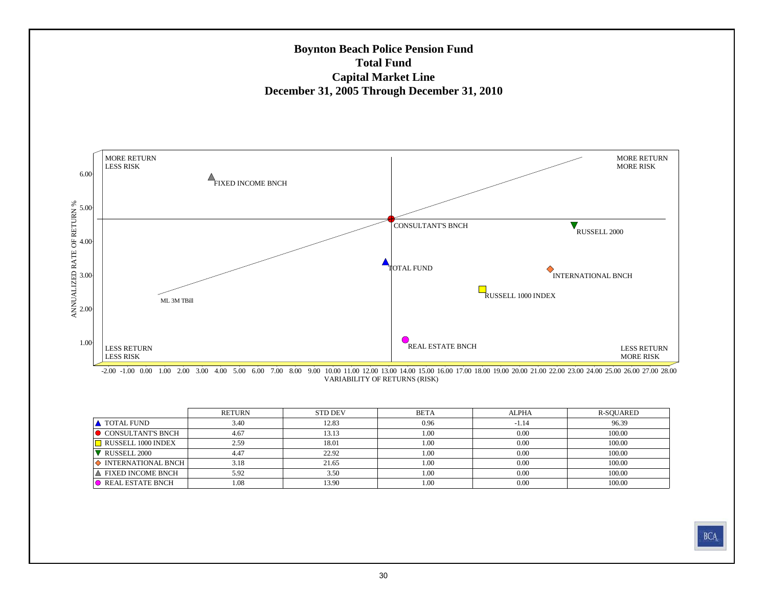#### **Boynton Beach Police Pension Fund Total FundCapital Market Line December 31, 2005 Through December 31, 2010**



VARIABILITY OF RETURNS (RISK) -2.00 -1.00 0.00 1.00 2.00 3.00 4.00 5.00 6.00 7.00 8.00 9.00 10.00 11.00 12.00 13.00 14.00 15.00 16.00 17.00 18.00 19.00 20.00 21.00 22.00 23.00 24.00 25.00 26.00 27.00 28.00

|                             | RETURN | <b>STD DEV</b> | <b>BETA</b> | <b>ALPHA</b> | R-SQUARED |
|-----------------------------|--------|----------------|-------------|--------------|-----------|
| <b>A TOTAL FUND</b>         | 3.40   | 12.83          | 0.96        | $-1.14$      | 96.39     |
| $\bullet$ CONSULTANT'S BNCH | 4.67   | 13.13          | 1.00        | 0.00         | 100.00    |
| RUSSELL 1000 INDEX          | 2.59   | 18.01          | 1.00        | 0.00         | 100.00    |
| RUSSELL 2000                | 4.47   | 22.92          | 1.00        | 0.00         | 100.00    |
| <b>O</b> INTERNATIONAL BNCH | 3.18   | 21.65          | 1.00        | 0.00         | 100.00    |
| ∣▲ FIXED INCOME BNCH        | 5.92   | 3.50           | 1.00        | 0.00         | 100.00    |
| REAL ESTATE BNCH            | 1.08   | 13.90          | 1.00        | 0.00         | 100.00    |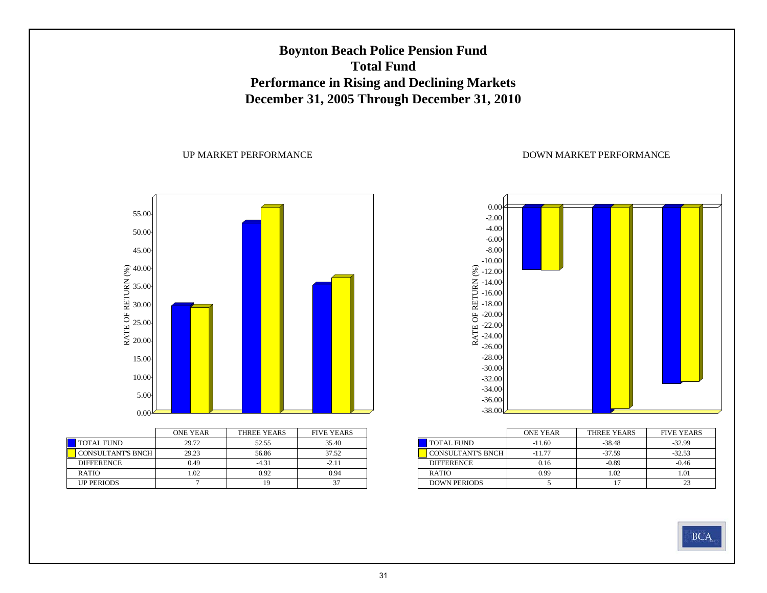### **Boynton Beach Police Pension Fund Total FundPerformance in Rising and Declining Markets December 31, 2005 Through December 31, 2010**

#### UP MARKET PERFORMANCE

DOWN MARKET PERFORMANCE



|                          | <b>ONE YEAR</b> | THREE YEARS | <b>FIVE YEARS</b> |
|--------------------------|-----------------|-------------|-------------------|
| <b>TOTAL FUND</b>        | 29.72           | 52.55       | 35.40             |
| <b>CONSULTANT'S BNCH</b> | 29.23           | 56.86       | 37.52             |
| <b>DIFFERENCE</b>        | 0.49            | $-4.31$     | $-2.11$           |
| <b>RATIO</b>             | 1.02            | 0.92        | 0.94              |
| <b>UP PERIODS</b>        |                 | 19          |                   |



|                     | <b>ONE YEAR</b> | THREE YEARS | <b>FIVE YEARS</b> |
|---------------------|-----------------|-------------|-------------------|
| <b>TOTAL FUND</b>   | $-11.60$        | $-38.48$    | $-32.99$          |
| CONSULTANT'S BNCH   | $-11.77$        | $-37.59$    | $-32.53$          |
| <b>DIFFERENCE</b>   | 0.16            | $-0.89$     | $-0.46$           |
| <b>RATIO</b>        | 0 99            | 1.02        | 1.01              |
| <b>DOWN PERIODS</b> |                 |             |                   |

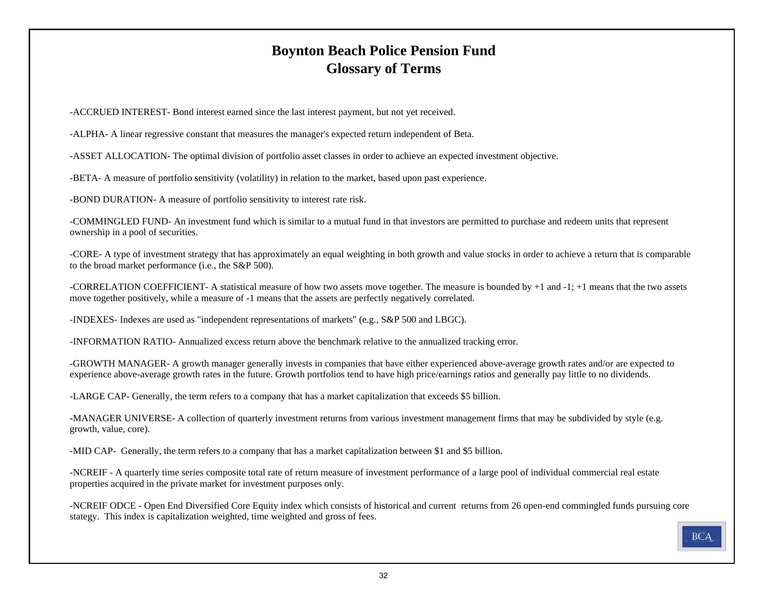### **Boynton Beach Police Pension Fund Glossary of Terms**

-ACCRUED INTEREST- Bond interest earned since the last interest payment, but not yet received.

-ALPHA- A linear regressive constant that measures the manager's expected return independent of Beta.

-ASSET ALLOCATION- The optimal division of portfolio asset classes in order to achieve an expected investment objective.

-BETA- A measure of portfolio sensitivity (volatility) in relation to the market, based upon past experience.

-BOND DURATION- A measure of portfolio sensitivity to interest rate risk.

-COMMINGLED FUND- An investment fund which is similar to a mutual fund in that investors are permitted to purchase and redeem units that represent ownership in a pool of securities.

-CORE- A type of investment strategy that has approximately an equal weighting in both growth and value stocks in order to achieve a return that is comparable to the broad market performance (i.e., the S&P 500).

-CORRELATION COEFFICIENT- A statistical measure of how two assets move together. The measure is bounded by +1 and -1; +1 means that the two assets move together positively, while a measure of -1 means that the assets are perfectly negatively correlated.

-INDEXES- Indexes are used as "independent representations of markets" (e.g., S&P 500 and LBGC).

-INFORMATION RATIO- Annualized excess return above the benchmark relative to the annualized tracking error.

-GROWTH MANAGER- A growth manager generally invests in companies that have either experienced above-average growth rates and/or are expected to experience above-average growth rates in the future. Growth portfolios tend to have high price/earnings ratios and generally pay little to no dividends.

-LARGE CAP- Generally, the term refers to a company that has a market capitalization that exceeds \$5 billion.

-MANAGER UNIVERSE- A collection of quarterly investment returns from various investment management firms that may be subdivided by style (e.g. growth, value, core).

-MID CAP- Generally, the term refers to a company that has a market capitalization between \$1 and \$5 billion.

-NCREIF - A quarterly time series composite total rate of return measure of investment performance of a large pool of individual commercial real estate properties acquired in the private market for investment purposes only.

-NCREIF ODCE - Open End Diversified Core Equity index which consists of historical and current returns from 26 open-end commingled funds pursuing core stategy. This index is capitalization weighted, time weighted and gross of fees.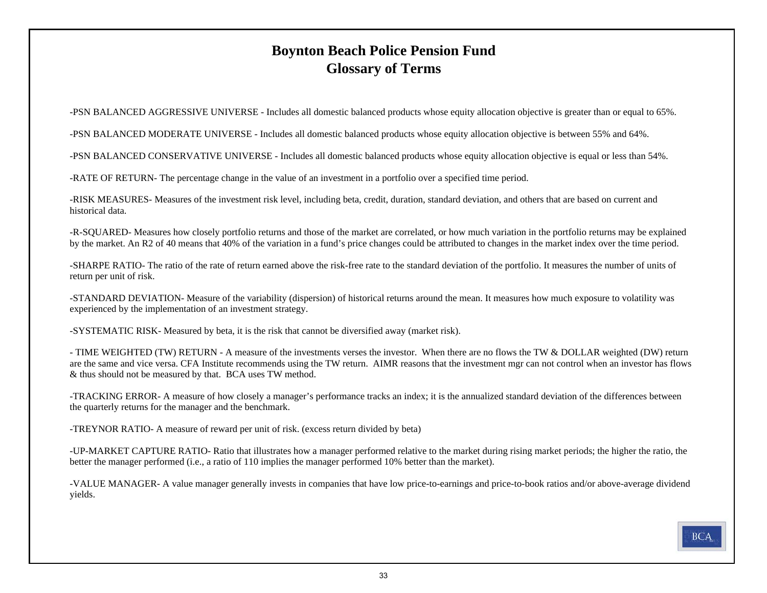### **Boynton Beach Police Pension Fund Glossary of Terms**

-PSN BALANCED AGGRESSIVE UNIVERSE - Includes all domestic balanced products whose equity allocation objective is greater than or equal to 65%.

-PSN BALANCED MODERATE UNIVERSE - Includes all domestic balanced products whose equity allocation objective is between 55% and 64%.

-PSN BALANCED CONSERVATIVE UNIVERSE - Includes all domestic balanced products whose equity allocation objective is equal or less than 54%.

-RATE OF RETURN- The percentage change in the value of an investment in a portfolio over a specified time period.

-RISK MEASURES- Measures of the investment risk level, including beta, credit, duration, standard deviation, and others that are based on current and historical data.

-R-SQUARED- Measures how closely portfolio returns and those of the market are correlated, or how much variation in the portfolio returns may be explained by the market. An R2 of 40 means that 40% of the variation in a fund's price changes could be attributed to changes in the market index over the time period.

-SHARPE RATIO- The ratio of the rate of return earned above the risk-free rate to the standard deviation of the portfolio. It measures the number of units of return per unit of risk.

-STANDARD DEVIATION- Measure of the variability (dispersion) of historical returns around the mean. It measures how much exposure to volatility was experienced by the implementation of an investment strategy.

-SYSTEMATIC RISK- Measured by beta, it is the risk that cannot be diversified away (market risk).

- TIME WEIGHTED (TW) RETURN - A measure of the investments verses the investor. When there are no flows the TW & DOLLAR weighted (DW) return are the same and vice versa. CFA Institute recommends using the TW return. AIMR reasons that the investment mgr can not control when an investor has flows & thus should not be measured by that. BCA uses TW method.

-TRACKING ERROR- A measure of how closely a manager's performance tracks an index; it is the annualized standard deviation of the differences between the quarterly returns for the manager and the benchmark.

-TREYNOR RATIO- A measure of reward per unit of risk. (excess return divided by beta)

-UP-MARKET CAPTURE RATIO- Ratio that illustrates how a manager performed relative to the market during rising market periods; the higher the ratio, the better the manager performed (i.e., a ratio of 110 implies the manager performed 10% better than the market).

-VALUE MANAGER- A value manager generally invests in companies that have low price-to-earnings and price-to-book ratios and/or above-average dividend yields.